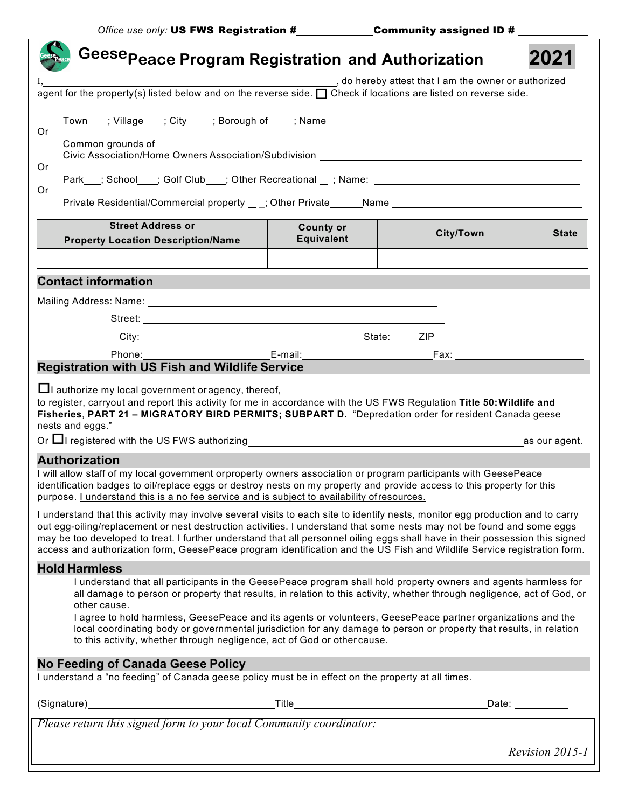|                                                                                                                                                                                                                                                                                                                                                                                     | Geese <sub>Peace</sub> Program Registration and Authorization                                                                                                                                                 |                   |                  |                 |  |  |
|-------------------------------------------------------------------------------------------------------------------------------------------------------------------------------------------------------------------------------------------------------------------------------------------------------------------------------------------------------------------------------------|---------------------------------------------------------------------------------------------------------------------------------------------------------------------------------------------------------------|-------------------|------------------|-----------------|--|--|
| do hereby attest that I am the owner or authorized                                                                                                                                                                                                                                                                                                                                  |                                                                                                                                                                                                               |                   |                  |                 |  |  |
| agent for the property(s) listed below and on the reverse side. $\Box$ Check if locations are listed on reverse side.                                                                                                                                                                                                                                                               |                                                                                                                                                                                                               |                   |                  |                 |  |  |
| Or                                                                                                                                                                                                                                                                                                                                                                                  | Town____; Village____; City_____; Borough of_____; Name ________________________<br>Common grounds of<br>Park___; School____; Golf Club____; Other Recreational __; Name: ___________________________________ |                   |                  |                 |  |  |
|                                                                                                                                                                                                                                                                                                                                                                                     |                                                                                                                                                                                                               |                   |                  |                 |  |  |
| Or                                                                                                                                                                                                                                                                                                                                                                                  |                                                                                                                                                                                                               |                   |                  |                 |  |  |
| Or<br>Private Residential/Commercial property __; Other Private _____Name ________________________________                                                                                                                                                                                                                                                                          |                                                                                                                                                                                                               |                   |                  |                 |  |  |
|                                                                                                                                                                                                                                                                                                                                                                                     | <b>Street Address or</b>                                                                                                                                                                                      | <b>County or</b>  |                  |                 |  |  |
|                                                                                                                                                                                                                                                                                                                                                                                     | <b>Property Location Description/Name</b>                                                                                                                                                                     | <b>Equivalent</b> | <b>City/Town</b> | <b>State</b>    |  |  |
|                                                                                                                                                                                                                                                                                                                                                                                     |                                                                                                                                                                                                               |                   |                  |                 |  |  |
| <b>Contact information</b>                                                                                                                                                                                                                                                                                                                                                          |                                                                                                                                                                                                               |                   |                  |                 |  |  |
|                                                                                                                                                                                                                                                                                                                                                                                     |                                                                                                                                                                                                               |                   |                  |                 |  |  |
|                                                                                                                                                                                                                                                                                                                                                                                     |                                                                                                                                                                                                               |                   |                  |                 |  |  |
|                                                                                                                                                                                                                                                                                                                                                                                     |                                                                                                                                                                                                               |                   |                  |                 |  |  |
|                                                                                                                                                                                                                                                                                                                                                                                     |                                                                                                                                                                                                               |                   |                  |                 |  |  |
|                                                                                                                                                                                                                                                                                                                                                                                     | <b>Registration with US Fish and Wildlife Service</b>                                                                                                                                                         |                   |                  |                 |  |  |
| □ authorize my local government or agency, thereof, <u>entitled</u> authorize my local<br>to register, carryout and report this activity for me in accordance with the US FWS Regulation Title 50: Wildlife and<br>Fisheries, PART 21 - MIGRATORY BIRD PERMITS; SUBPART D. "Depredation order for resident Canada geese<br>nests and eggs."                                         |                                                                                                                                                                                                               |                   |                  |                 |  |  |
|                                                                                                                                                                                                                                                                                                                                                                                     |                                                                                                                                                                                                               |                   |                  |                 |  |  |
| <b>Authorization</b>                                                                                                                                                                                                                                                                                                                                                                |                                                                                                                                                                                                               |                   |                  |                 |  |  |
| I will allow staff of my local government orproperty owners association or program participants with GeesePeace<br>identification badges to oil/replace eggs or destroy nests on my property and provide access to this property for this<br>purpose. I understand this is a no fee service and is subject to availability of resources.                                            |                                                                                                                                                                                                               |                   |                  |                 |  |  |
| I understand that this activity may involve several visits to each site to identify nests, monitor egg production and to carry                                                                                                                                                                                                                                                      |                                                                                                                                                                                                               |                   |                  |                 |  |  |
| out egg-oiling/replacement or nest destruction activities. I understand that some nests may not be found and some eggs<br>may be too developed to treat. I further understand that all personnel oiling eggs shall have in their possession this signed<br>access and authorization form, GeesePeace program identification and the US Fish and Wildlife Service registration form. |                                                                                                                                                                                                               |                   |                  |                 |  |  |
|                                                                                                                                                                                                                                                                                                                                                                                     | <b>Hold Harmless</b>                                                                                                                                                                                          |                   |                  |                 |  |  |
| I understand that all participants in the GeesePeace program shall hold property owners and agents harmless for<br>all damage to person or property that results, in relation to this activity, whether through negligence, act of God, or<br>other cause.                                                                                                                          |                                                                                                                                                                                                               |                   |                  |                 |  |  |
| I agree to hold harmless, GeesePeace and its agents or volunteers, GeesePeace partner organizations and the<br>local coordinating body or governmental jurisdiction for any damage to person or property that results, in relation<br>to this activity, whether through negligence, act of God or other cause.                                                                      |                                                                                                                                                                                                               |                   |                  |                 |  |  |
| <b>No Feeding of Canada Geese Policy</b>                                                                                                                                                                                                                                                                                                                                            |                                                                                                                                                                                                               |                   |                  |                 |  |  |
| I understand a "no feeding" of Canada geese policy must be in effect on the property at all times.                                                                                                                                                                                                                                                                                  |                                                                                                                                                                                                               |                   |                  |                 |  |  |
|                                                                                                                                                                                                                                                                                                                                                                                     |                                                                                                                                                                                                               |                   |                  |                 |  |  |
|                                                                                                                                                                                                                                                                                                                                                                                     |                                                                                                                                                                                                               |                   |                  |                 |  |  |
|                                                                                                                                                                                                                                                                                                                                                                                     |                                                                                                                                                                                                               |                   |                  | Revision 2015-1 |  |  |